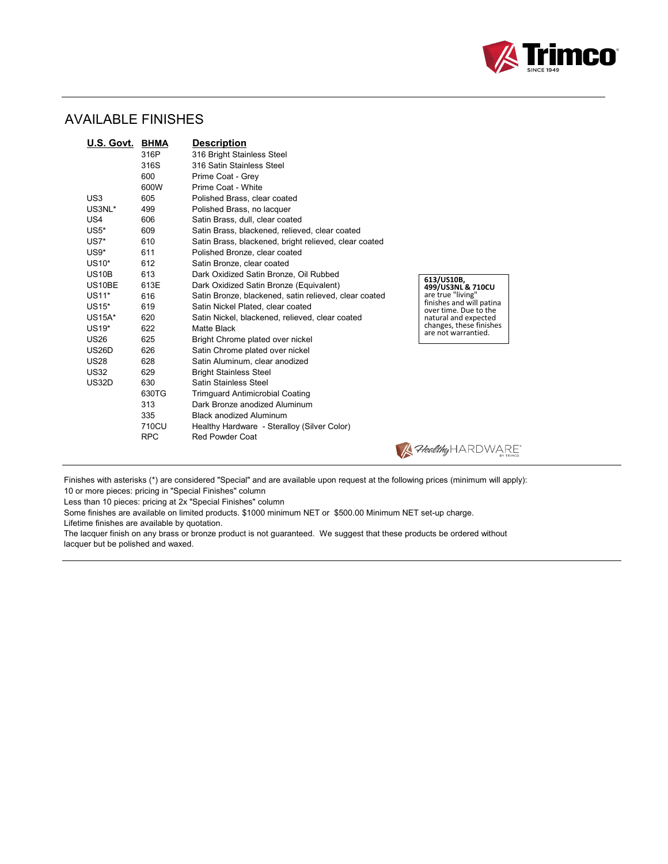

## AVAILABLE FINISHES

| U.S. Govt.      | <b>BHMA</b> | <b>Description</b>                                    |                                                   |
|-----------------|-------------|-------------------------------------------------------|---------------------------------------------------|
|                 | 316P        | 316 Bright Stainless Steel                            |                                                   |
|                 | 316S        | 316 Satin Stainless Steel                             |                                                   |
|                 | 600         | Prime Coat - Grey                                     |                                                   |
|                 | 600W        | Prime Coat - White                                    |                                                   |
| US <sub>3</sub> | 605         | Polished Brass, clear coated                          |                                                   |
| US3NL*          | 499         | Polished Brass, no lacquer                            |                                                   |
| US4             | 606         | Satin Brass, dull, clear coated                       |                                                   |
| $US5*$          | 609         | Satin Brass, blackened, relieved, clear coated        |                                                   |
| $US7*$          | 610         | Satin Brass, blackened, bright relieved, clear coated |                                                   |
| $US9*$          | 611         | Polished Bronze, clear coated                         |                                                   |
| US10*           | 612         | Satin Bronze, clear coated                            |                                                   |
| <b>US10B</b>    | 613         | Dark Oxidized Satin Bronze, Oil Rubbed                |                                                   |
| US10BE          | 613E        | Dark Oxidized Satin Bronze (Equivalent)               | 613/US10B,<br>499/US3NL & 710CU                   |
| US11*           | 616         | Satin Bronze, blackened, satin relieved, clear coated | are true "living"                                 |
| US15*           | 619         | Satin Nickel Plated, clear coated                     | finishes and will patina<br>over time. Due to the |
| <b>US15A*</b>   | 620         | Satin Nickel, blackened, relieved, clear coated       | natural and expected                              |
| US19*           | 622         | Matte Black                                           | changes, these finishes<br>are not warrantied.    |
| <b>US26</b>     | 625         | Bright Chrome plated over nickel                      |                                                   |
| <b>US26D</b>    | 626         | Satin Chrome plated over nickel                       |                                                   |
| <b>US28</b>     | 628         | Satin Aluminum, clear anodized                        |                                                   |
| <b>US32</b>     | 629         | <b>Bright Stainless Steel</b>                         |                                                   |
| <b>US32D</b>    | 630         | Satin Stainless Steel                                 |                                                   |
|                 | 630TG       | <b>Trimguard Antimicrobial Coating</b>                |                                                   |
|                 | 313         | Dark Bronze anodized Aluminum                         |                                                   |
|                 | 335         | <b>Black anodized Aluminum</b>                        |                                                   |
|                 | 710CU       | Healthy Hardware - Steralloy (Silver Color)           |                                                   |
|                 | <b>RPC</b>  | Red Powder Coat                                       |                                                   |
|                 |             |                                                       | <b>A</b> Healthy <code>HARDV</code>               |

Finishes with asterisks (\*) are considered "Special" and are available upon request at the following prices (minimum will apply):

10 or more pieces: pricing in "Special Finishes" column

Less than 10 pieces: pricing at 2x "Special Finishes" column

Some finishes are available on limited products. \$1000 minimum NET or \$500.00 Minimum NET set-up charge.

Lifetime finishes are available by quotation.

The lacquer finish on any brass or bronze product is not guaranteed. We suggest that these products be ordered without lacquer but be polished and waxed.